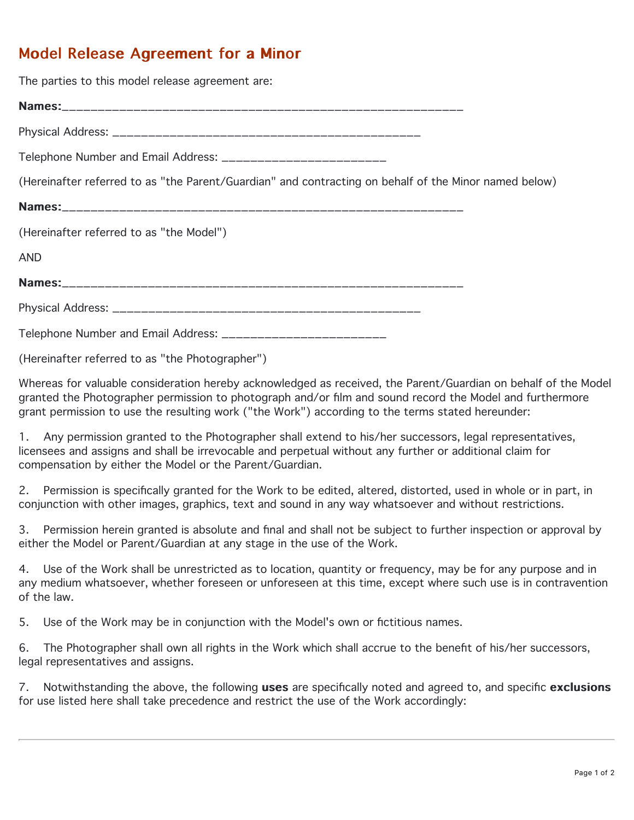## Model Release Agreement for a Minor

The parties to this model release agreement are:

Names: Names:\_\_\_\_\_\_\_\_\_\_\_\_\_\_\_\_\_\_\_\_\_\_\_\_\_\_\_\_\_\_\_\_\_\_\_\_\_\_\_\_\_\_\_\_\_\_\_\_\_\_\_\_\_\_\_\_

Physical Address: \_\_\_\_\_\_\_\_\_\_\_\_\_\_\_\_\_\_\_\_\_\_\_\_\_\_\_\_\_\_\_\_\_\_\_\_\_\_\_\_\_\_\_

Telephone Number and Email Address: \_\_\_\_\_\_\_\_\_\_\_\_\_\_\_\_\_\_\_\_\_\_\_

(Hereinafter referred to as "the Parent/Guardian" and contracting on behalf of the Minor named below)

Names: (Hereinafter referred to as "the Model") AND Names: Names:\_\_\_\_\_\_\_\_\_\_\_\_\_\_\_\_\_\_\_\_\_\_\_\_\_\_\_\_\_\_\_\_\_\_\_\_\_\_\_\_\_\_\_\_\_\_\_\_\_\_\_\_\_\_\_\_ Physical Address: \_\_\_\_\_\_\_\_\_\_\_\_\_\_\_\_\_\_\_\_\_\_\_\_\_\_\_\_\_\_\_\_\_\_\_\_\_\_\_\_\_\_\_

Telephone Number and Email Address: \_\_\_\_\_\_\_\_\_\_\_\_\_\_\_\_\_\_\_\_\_\_\_

(Hereinafter referred to as "the Photographer")

Whereas for valuable consideration hereby acknowledged as received, the Parent/Guardian on behalf of the Model granted the Photographer permission to photograph and/or film and sound record the Model and furthermore grant permission to use the resulting work ("the Work") according to the terms stated hereunder:

1. Any permission granted to the Photographer shall extend to his/her successors, legal representatives, licensees and assigns and shall be irrevocable and perpetual without any further or additional claim for compensation by either the Model or the Parent/Guardian.

2. Permission is specifically granted for the Work to be edited, altered, distorted, used in whole or in part, in conjunction with other images, graphics, text and sound in any way whatsoever and without restrictions.

3. Permission herein granted is absolute and final and shall not be subject to further inspection or approval by either the Model or Parent/Guardian at any stage in the use of the Work.

4. Use of the Work shall be unrestricted as to location, quantity or frequency, may be for any purpose and in any medium whatsoever, whether foreseen or unforeseen at this time, except where such use is in contravention of the law.

5. Use of the Work may be in conjunction with the Model's own or fictitious names.

6. The Photographer shall own all rights in the Work which shall accrue to the benefit of his/her successors, legal representatives and assigns.

7. Notwithstanding the above, the following uses are specifically noted and agreed to, and specific exclusions for use listed here shall take precedence and restrict the use of the Work accordingly: